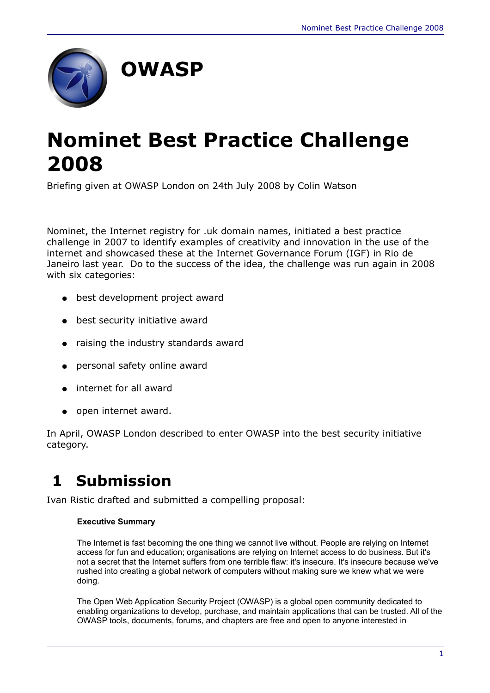

# **Nominet Best Practice Challenge 2008**

Briefing given at OWASP London on 24th July 2008 by Colin Watson

Nominet, the Internet registry for .uk domain names, initiated a best practice challenge in 2007 to identify examples of creativity and innovation in the use of the internet and showcased these at the Internet Governance Forum (IGF) in Rio de Janeiro last year. Do to the success of the idea, the challenge was run again in 2008 with six categories:

- best development project award
- best security initiative award
- raising the industry standards award
- personal safety online award
- internet for all award
- open internet award.

In April, OWASP London described to enter OWASP into the best security initiative category.

## **1 Submission**

Ivan Ristic drafted and submitted a compelling proposal:

#### **Executive Summary**

The Internet is fast becoming the one thing we cannot live without. People are relying on Internet access for fun and education; organisations are relying on Internet access to do business. But it's not a secret that the Internet suffers from one terrible flaw: it's insecure. It's insecure because we've rushed into creating a global network of computers without making sure we knew what we were doing.

The Open Web Application Security Project (OWASP) is a global open community dedicated to enabling organizations to develop, purchase, and maintain applications that can be trusted. All of the OWASP tools, documents, forums, and chapters are free and open to anyone interested in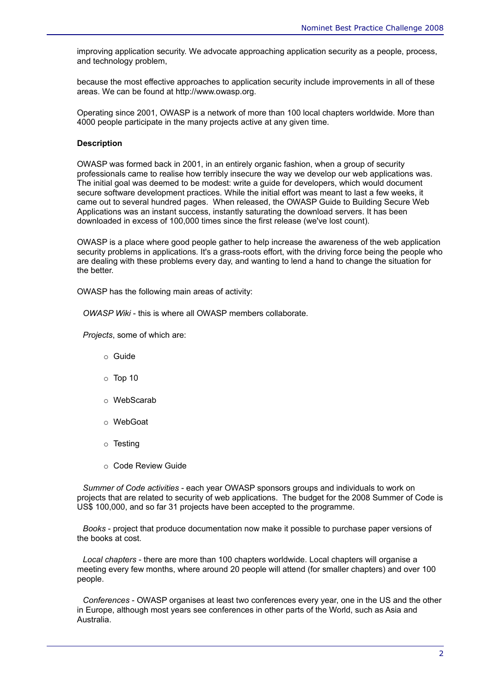improving application security. We advocate approaching application security as a people, process, and technology problem,

because the most effective approaches to application security include improvements in all of these areas. We can be found at http://www.owasp.org.

Operating since 2001, OWASP is a network of more than 100 local chapters worldwide. More than 4000 people participate in the many projects active at any given time.

#### **Description**

OWASP was formed back in 2001, in an entirely organic fashion, when a group of security professionals came to realise how terribly insecure the way we develop our web applications was. The initial goal was deemed to be modest: write a guide for developers, which would document secure software development practices. While the initial effort was meant to last a few weeks, it came out to several hundred pages. When released, the OWASP Guide to Building Secure Web Applications was an instant success, instantly saturating the download servers. It has been downloaded in excess of 100,000 times since the first release (we've lost count).

OWASP is a place where good people gather to help increase the awareness of the web application security problems in applications. It's a grass-roots effort, with the driving force being the people who are dealing with these problems every day, and wanting to lend a hand to change the situation for the better.

OWASP has the following main areas of activity:

*OWASP Wiki* - this is where all OWASP members collaborate.

*Projects*, some of which are:

- o Guide
- $\circ$  Top 10
- o WebScarab
- o WebGoat
- o Testing
- o Code Review Guide

 *Summer of Code activities* - each year OWASP sponsors groups and individuals to work on projects that are related to security of web applications. The budget for the 2008 Summer of Code is US\$ 100,000, and so far 31 projects have been accepted to the programme.

 *Books* - project that produce documentation now make it possible to purchase paper versions of the books at cost.

 *Local chapters* - there are more than 100 chapters worldwide. Local chapters will organise a meeting every few months, where around 20 people will attend (for smaller chapters) and over 100 people.

 *Conferences* - OWASP organises at least two conferences every year, one in the US and the other in Europe, although most years see conferences in other parts of the World, such as Asia and Australia.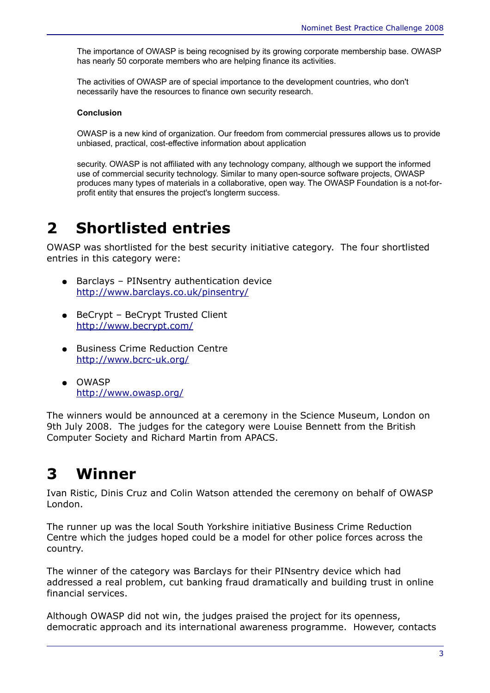The importance of OWASP is being recognised by its growing corporate membership base. OWASP has nearly 50 corporate members who are helping finance its activities.

The activities of OWASP are of special importance to the development countries, who don't necessarily have the resources to finance own security research.

#### **Conclusion**

OWASP is a new kind of organization. Our freedom from commercial pressures allows us to provide unbiased, practical, cost-effective information about application

security. OWASP is not affiliated with any technology company, although we support the informed use of commercial security technology. Similar to many open-source software projects, OWASP produces many types of materials in a collaborative, open way. The OWASP Foundation is a not-forprofit entity that ensures the project's longterm success.

## **2 Shortlisted entries**

OWASP was shortlisted for the best security initiative category. The four shortlisted entries in this category were:

- Barclays PINsentry authentication device <http://www.barclays.co.uk/pinsentry/>
- BeCrypt BeCrypt Trusted Client <http://www.becrypt.com/>
- Business Crime Reduction Centre <http://www.bcrc-uk.org/>
- OWASP <http://www.owasp.org/>

The winners would be announced at a ceremony in the Science Museum, London on 9th July 2008. The judges for the category were Louise Bennett from the British Computer Society and Richard Martin from APACS.

## **3 Winner**

Ivan Ristic, Dinis Cruz and Colin Watson attended the ceremony on behalf of OWASP London.

The runner up was the local South Yorkshire initiative Business Crime Reduction Centre which the judges hoped could be a model for other police forces across the country.

The winner of the category was Barclays for their PINsentry device which had addressed a real problem, cut banking fraud dramatically and building trust in online financial services.

Although OWASP did not win, the judges praised the project for its openness, democratic approach and its international awareness programme. However, contacts